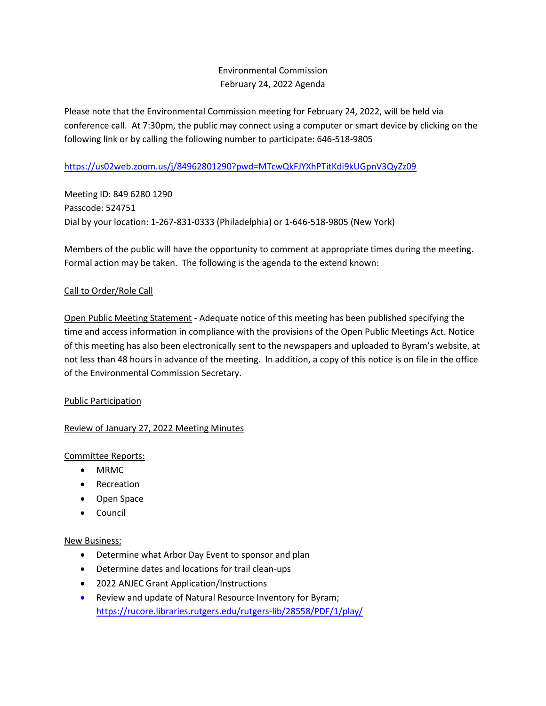# Environmental Commission February 24, 2022 Agenda

Please note that the Environmental Commission meeting for February 24, 2022, will be held via conference call. At 7:30pm, the public may connect using a computer or smart device by clicking on the following link or by calling the following number to participate: 646-518-9805

## <https://us02web.zoom.us/j/84962801290?pwd=MTcwQkFJYXhPTitKdi9kUGpnV3QyZz09>

Meeting ID: 849 6280 1290 Passcode: 524751 Dial by your location: 1-267-831-0333 (Philadelphia) or 1-646-518-9805 (New York)

Members of the public will have the opportunity to comment at appropriate times during the meeting. Formal action may be taken. The following is the agenda to the extend known:

### Call to Order/Role Call

Open Public Meeting Statement - Adequate notice of this meeting has been published specifying the time and access information in compliance with the provisions of the Open Public Meetings Act. Notice of this meeting has also been electronically sent to the newspapers and uploaded to Byram's website, at not less than 48 hours in advance of the meeting. In addition, a copy of this notice is on file in the office of the Environmental Commission Secretary.

### Public Participation

### Review of January 27, 2022 Meeting Minutes

### Committee Reports:

- MRMC
- Recreation
- Open Space
- Council

### New Business:

- Determine what Arbor Day Event to sponsor and plan
- Determine dates and locations for trail clean-ups
- 2022 ANJEC Grant Application/Instructions
- Review and update of Natural Resource Inventory for Byram; <https://rucore.libraries.rutgers.edu/rutgers-lib/28558/PDF/1/play/>